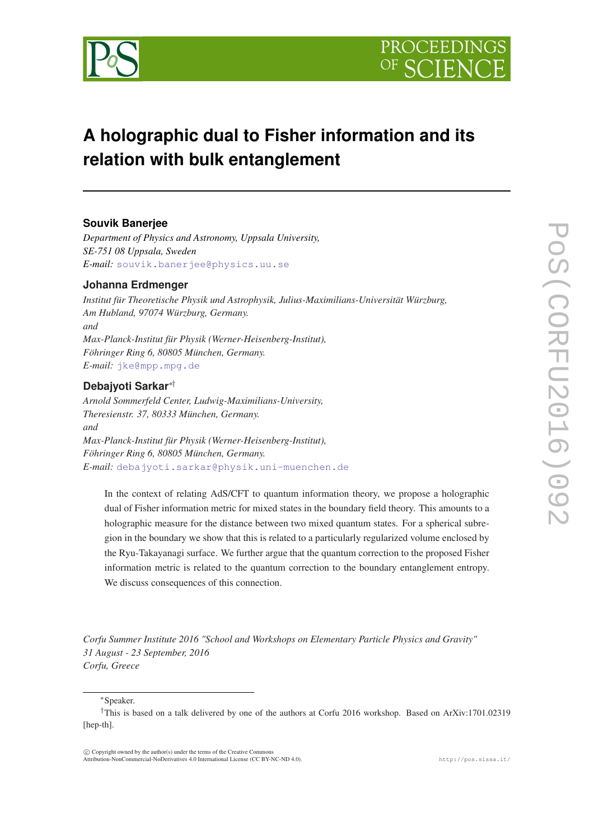



# **A holographic dual to Fisher information and its relation with bulk entanglement**

# **Souvik Banerjee**

*Department of Physics and Astronomy, Uppsala University, SE-751 08 Uppsala, Sweden E-mail:* [souvik.banerjee@physics.uu.se](mailto:souvik.banerjee@physics.uu.se)

# **Johanna Erdmenger**

*Institut für Theoretische Physik und Astrophysik, Julius-Maximilians-Universität Würzburg, Am Hubland, 97074 Würzburg, Germany. and Max-Planck-Institut für Physik (Werner-Heisenberg-Institut), Föhringer Ring 6, 80805 München, Germany. E-mail:* [jke@mpp.mpg.de](mailto:jke@mpp.mpg.de)

# **Debajyoti Sarkar**∗†

*Arnold Sommerfeld Center, Ludwig-Maximilians-University, Theresienstr. 37, 80333 München, Germany. and Max-Planck-Institut für Physik (Werner-Heisenberg-Institut), Föhringer Ring 6, 80805 München, Germany. E-mail:* [debajyoti.sarkar@physik.uni-muenchen.de](mailto:debajyoti.sarkar@physik.uni-muenchen.de)

In the context of relating AdS/CFT to quantum information theory, we propose a holographic dual of Fisher information metric for mixed states in the boundary field theory. This amounts to a holographic measure for the distance between two mixed quantum states. For a spherical subregion in the boundary we show that this is related to a particularly regularized volume enclosed by the Ryu-Takayanagi surface. We further argue that the quantum correction to the proposed Fisher information metric is related to the quantum correction to the boundary entanglement entropy. We discuss consequences of this connection.

*Corfu Summer Institute 2016 "School and Workshops on Elementary Particle Physics and Gravity" 31 August - 23 September, 2016 Corfu, Greece*

#### <sup>∗</sup>Speaker.

 $(C)$  Copyright owned by the author(s) under the terms of the Creative Common Attribution-NonCommercial-NoDerivatives 4.0 International License (CC BY-NC-ND 4.0). http://pos.sissa.it/

<sup>†</sup>This is based on a talk delivered by one of the authors at Corfu 2016 workshop. Based on ArXiv:1701.02319 [hep-th].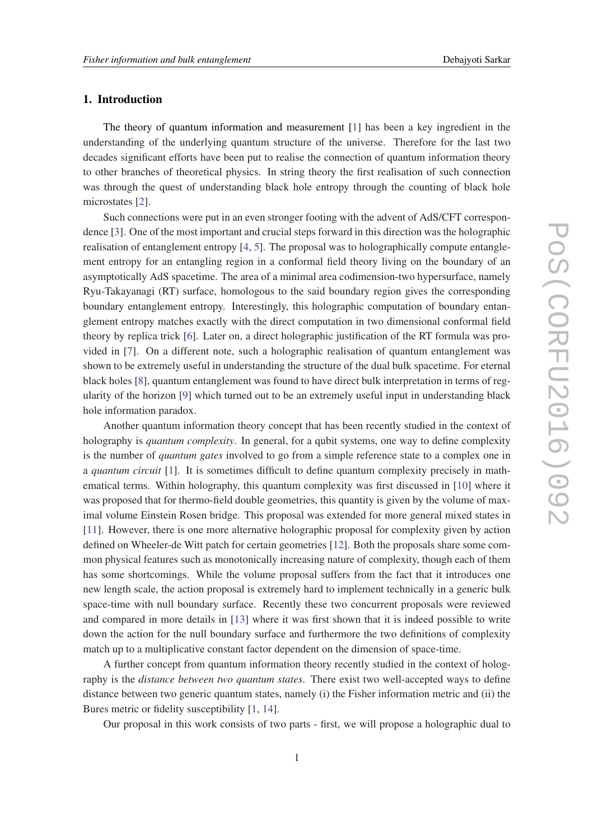# 1. Introduction

The theory of quantum information and measurement [\[1\]](#page-16-0) has been a key ingredient in the understanding of the underlying quantum structure of the universe. Therefore for the last two decades significant efforts have been put to realise the connection of quantum information theory to other branches of theoretical physics. In string theory the first realisation of such connection was through the quest of understanding black hole entropy through the counting of black hole microstates [\[2\]](#page-16-0).

Such connections were put in an even stronger footing with the advent of AdS/CFT correspondence [[3](#page-16-0)]. One of the most important and crucial steps forward in this direction was the holographic realisation of entanglement entropy [[4](#page-16-0), [5](#page-16-0)]. The proposal was to holographically compute entanglement entropy for an entangling region in a conformal field theory living on the boundary of an asymptotically AdS spacetime. The area of a minimal area codimension-two hypersurface, namely Ryu-Takayanagi (RT) surface, homologous to the said boundary region gives the corresponding boundary entanglement entropy. Interestingly, this holographic computation of boundary entanglement entropy matches exactly with the direct computation in two dimensional conformal field theory by replica trick [\[6\]](#page-16-0). Later on, a direct holographic justification of the RT formula was provided in [[7\]](#page-16-0). On a different note, such a holographic realisation of quantum entanglement was shown to be extremely useful in understanding the structure of the dual bulk spacetime. For eternal black holes [\[8\]](#page-16-0), quantum entanglement was found to have direct bulk interpretation in terms of regularity of the horizon [\[9\]](#page-16-0) which turned out to be an extremely useful input in understanding black hole information paradox.

Another quantum information theory concept that has been recently studied in the context of holography is *quantum complexity*. In general, for a qubit systems, one way to define complexity is the number of *quantum gates* involved to go from a simple reference state to a complex one in a *quantum circuit* [[1](#page-16-0)]. It is sometimes difficult to define quantum complexity precisely in mathematical terms. Within holography, this quantum complexity was first discussed in [\[10\]](#page-16-0) where it was proposed that for thermo-field double geometries, this quantity is given by the volume of maximal volume Einstein Rosen bridge. This proposal was extended for more general mixed states in [[11\]](#page-16-0). However, there is one more alternative holographic proposal for complexity given by action defined on Wheeler-de Witt patch for certain geometries [[12\]](#page-17-0). Both the proposals share some common physical features such as monotonically increasing nature of complexity, though each of them has some shortcomings. While the volume proposal suffers from the fact that it introduces one new length scale, the action proposal is extremely hard to implement technically in a generic bulk space-time with null boundary surface. Recently these two concurrent proposals were reviewed and compared in more details in [[13\]](#page-17-0) where it was first shown that it is indeed possible to write down the action for the null boundary surface and furthermore the two definitions of complexity match up to a multiplicative constant factor dependent on the dimension of space-time.

A further concept from quantum information theory recently studied in the context of holography is the *distance between two quantum states*. There exist two well-accepted ways to define distance between two generic quantum states, namely (i) the Fisher information metric and (ii) the Bures metric or fidelity susceptibility [\[1,](#page-16-0) [14\]](#page-17-0).

Our proposal in this work consists of two parts - first, we will propose a holographic dual to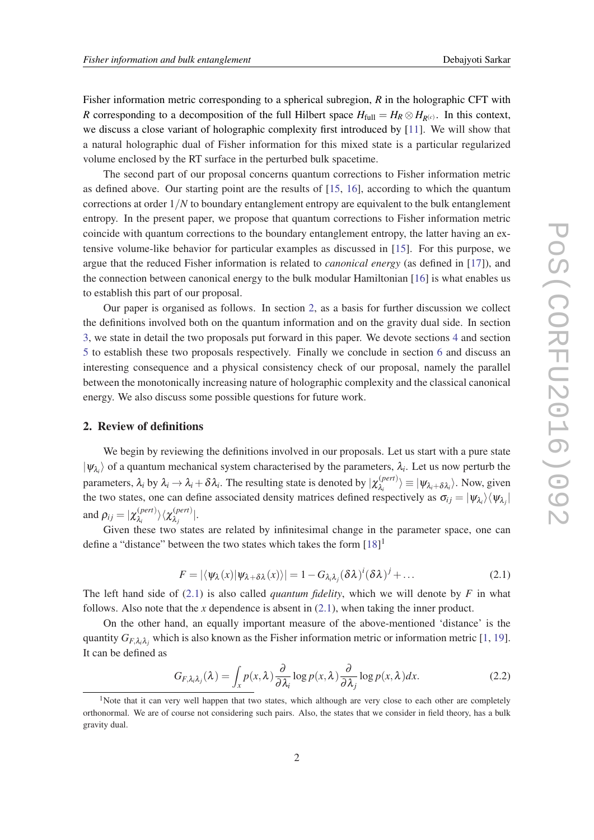<span id="page-2-0"></span>Fisher information metric corresponding to a spherical subregion, *R* in the holographic CFT with *R* corresponding to a decomposition of the full Hilbert space  $H_{\text{full}} = H_R \otimes H_{R(c)}$ . In this context, we discuss a close variant of holographic complexity first introduced by [\[11](#page-16-0)]. We will show that a natural holographic dual of Fisher information for this mixed state is a particular regularized volume enclosed by the RT surface in the perturbed bulk spacetime.

The second part of our proposal concerns quantum corrections to Fisher information metric as defined above. Our starting point are the results of [\[15](#page-17-0), [16](#page-17-0)], according to which the quantum corrections at order 1/*N* to boundary entanglement entropy are equivalent to the bulk entanglement entropy. In the present paper, we propose that quantum corrections to Fisher information metric coincide with quantum corrections to the boundary entanglement entropy, the latter having an extensive volume-like behavior for particular examples as discussed in [\[15](#page-17-0)]. For this purpose, we argue that the reduced Fisher information is related to *canonical energy* (as defined in [[17\]](#page-17-0)), and the connection between canonical energy to the bulk modular Hamiltonian [\[16](#page-17-0)] is what enables us to establish this part of our proposal.

Our paper is organised as follows. In section 2, as a basis for further discussion we collect the definitions involved both on the quantum information and on the gravity dual side. In section [3,](#page-5-0) we state in detail the two proposals put forward in this paper. We devote sections [4](#page-6-0) and section [5](#page-11-0) to establish these two proposals respectively. Finally we conclude in section [6](#page-15-0) and discuss an interesting consequence and a physical consistency check of our proposal, namely the parallel between the monotonically increasing nature of holographic complexity and the classical canonical energy. We also discuss some possible questions for future work.

# 2. Review of definitions

We begin by reviewing the definitions involved in our proposals. Let us start with a pure state  $|\psi_{\lambda_i}\rangle$  of a quantum mechanical system characterised by the parameters,  $\lambda_i$ . Let us now perturb the parameters,  $\lambda_i$  by  $\lambda_i \to \lambda_i + \delta \lambda_i$ . The resulting state is denoted by  $|\chi_{\lambda_i}^{(pert)}|$  $\langle \chi_i^{(pert)} \rangle \equiv |\psi_{\lambda_i + \delta \lambda_i} \rangle$ . Now, given the two states, one can define associated density matrices defined respectively as  $\sigma_{ij} = |\psi_{\lambda_i}\rangle \langle \psi_{\lambda_j}|$ and  $\rho_{ij} = |\chi_{\lambda_i}^{(pert)}|$  $\langle\rho_{i}^{(pert)}\rangle\langle\chi_{\lambda_{j}}^{(pert)}\rangle$ λ*j* |.

Given these two states are related by infinitesimal change in the parameter space, one can define a "distance" between the two states which takes the form  $[18]$  $[18]$ <sup>1</sup>

$$
F = |\langle \psi_{\lambda}(x) | \psi_{\lambda + \delta \lambda}(x) \rangle| = 1 - G_{\lambda_i \lambda_j} (\delta \lambda)^i (\delta \lambda)^j + \dots
$$
 (2.1)

The left hand side of  $(2.1)$  is also called *quantum fidelity*, which we will denote by *F* in what follows. Also note that the *x* dependence is absent in (2.1), when taking the inner product.

On the other hand, an equally important measure of the above-mentioned 'distance' is the quantity  $G_{F,\lambda_i\lambda_j}$  which is also known as the Fisher information metric or information metric [\[1,](#page-16-0) [19\]](#page-17-0). It can be defined as

$$
G_{F,\lambda_i\lambda_j}(\lambda) = \int_x p(x,\lambda) \frac{\partial}{\partial \lambda_i} \log p(x,\lambda) \frac{\partial}{\partial \lambda_j} \log p(x,\lambda) dx.
$$
 (2.2)

<sup>&</sup>lt;sup>1</sup>Note that it can very well happen that two states, which although are very close to each other are completely orthonormal. We are of course not considering such pairs. Also, the states that we consider in field theory, has a bulk gravity dual.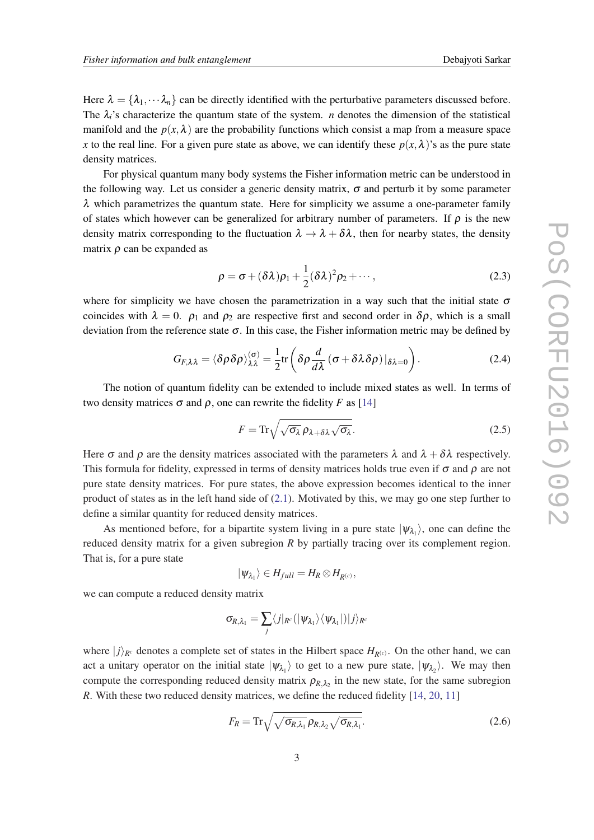<span id="page-3-0"></span>Here  $\lambda = {\lambda_1, \dots, \lambda_n}$  can be directly identified with the perturbative parameters discussed before. The  $\lambda_i$ 's characterize the quantum state of the system. *n* denotes the dimension of the statistical manifold and the  $p(x, \lambda)$  are the probability functions which consist a map from a measure space *x* to the real line. For a given pure state as above, we can identify these  $p(x, \lambda)$ 's as the pure state density matrices.

For physical quantum many body systems the Fisher information metric can be understood in the following way. Let us consider a generic density matrix,  $\sigma$  and perturb it by some parameter  $\lambda$  which parametrizes the quantum state. Here for simplicity we assume a one-parameter family of states which however can be generalized for arbitrary number of parameters. If  $\rho$  is the new density matrix corresponding to the fluctuation  $\lambda \to \lambda + \delta \lambda$ , then for nearby states, the density matrix  $\rho$  can be expanded as

$$
\rho = \sigma + (\delta \lambda) \rho_1 + \frac{1}{2} (\delta \lambda)^2 \rho_2 + \cdots, \qquad (2.3)
$$

where for simplicity we have chosen the parametrization in a way such that the initial state  $\sigma$ coincides with  $\lambda = 0$ .  $\rho_1$  and  $\rho_2$  are respective first and second order in  $\delta \rho$ , which is a small deviation from the reference state  $\sigma$ . In this case, the Fisher information metric may be defined by

$$
G_{F,\lambda\lambda} = \langle \delta\rho \delta\rho \rangle_{\lambda\lambda}^{(\sigma)} = \frac{1}{2} \text{tr} \left( \delta\rho \frac{d}{d\lambda} \left( \sigma + \delta\lambda \delta\rho \right) |_{\delta\lambda=0} \right). \tag{2.4}
$$

The notion of quantum fidelity can be extended to include mixed states as well. In terms of two density matrices  $\sigma$  and  $\rho$ , one can rewrite the fidelity *F* as [[14\]](#page-17-0)

$$
F = \operatorname{Tr}\sqrt{\sqrt{\sigma_{\lambda}}\,\rho_{\lambda+\delta\lambda}\sqrt{\sigma_{\lambda}}}.\tag{2.5}
$$

Here  $\sigma$  and  $\rho$  are the density matrices associated with the parameters  $\lambda$  and  $\lambda + \delta \lambda$  respectively. This formula for fidelity, expressed in terms of density matrices holds true even if  $\sigma$  and  $\rho$  are not pure state density matrices. For pure states, the above expression becomes identical to the inner product of states as in the left hand side of [\(2.1\)](#page-2-0). Motivated by this, we may go one step further to define a similar quantity for reduced density matrices.

As mentioned before, for a bipartite system living in a pure state  $|\psi_{\lambda_1}\rangle$ , one can define the reduced density matrix for a given subregion *R* by partially tracing over its complement region. That is, for a pure state

$$
|\psi_{\lambda_1}\rangle \in H_{full} = H_R \otimes H_{R^{(c)}},
$$

we can compute a reduced density matrix

$$
\sigma_{\!R,\lambda_1}=\sum_j\langle j|_{R^c}(|\psi_{\lambda_1}\rangle\langle\psi_{\lambda_1}|)|j\rangle_{R^c}
$$

where  $|j\rangle_{R^c}$  denotes a complete set of states in the Hilbert space  $H_{R(c)}$ . On the other hand, we can act a unitary operator on the initial state  $|\psi_{\lambda_1}\rangle$  to get to a new pure state,  $|\psi_{\lambda_2}\rangle$ . We may then compute the corresponding reduced density matrix  $\rho_{R,\lambda_2}$  in the new state, for the same subregion *R*. With these two reduced density matrices, we define the reduced fidelity [[14,](#page-17-0) [20,](#page-17-0) [11](#page-16-0)]

$$
F_R = \text{Tr}\sqrt{\sqrt{\sigma_{R,\lambda_1}}\,\rho_{R,\lambda_2}\sqrt{\sigma_{R,\lambda_1}}}.
$$
\n(2.6)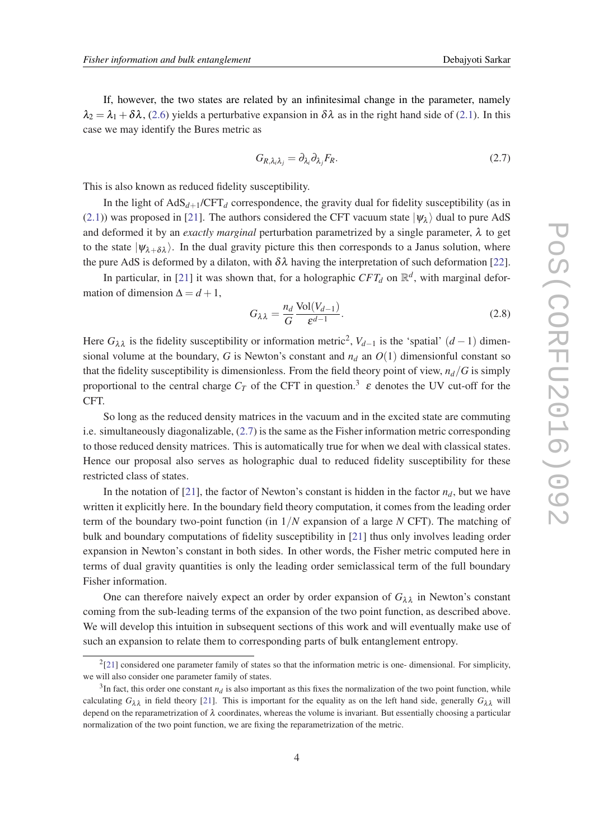<span id="page-4-0"></span>If, however, the two states are related by an infinitesimal change in the parameter, namely  $\lambda_2 = \lambda_1 + \delta \lambda$ , [\(2.6\)](#page-3-0) yields a perturbative expansion in  $\delta \lambda$  as in the right hand side of ([2.1\)](#page-2-0). In this case we may identify the Bures metric as

$$
G_{R,\lambda_i\lambda_j} = \partial_{\lambda_i} \partial_{\lambda_j} F_R. \tag{2.7}
$$

This is also known as reduced fidelity susceptibility.

In the light of  $AdS_{d+1}/CFT_d$  correspondence, the gravity dual for fidelity susceptibility (as in ([2.1\)](#page-2-0)) was proposed in [\[21](#page-17-0)]. The authors considered the CFT vacuum state  $|\psi_{\lambda}\rangle$  dual to pure AdS and deformed it by an *exactly marginal* perturbation parametrized by a single parameter, λ to get to the state  $|\psi_{\lambda+\delta\lambda}\rangle$ . In the dual gravity picture this then corresponds to a Janus solution, where the pure AdS is deformed by a dilaton, with  $\delta\lambda$  having the interpretation of such deformation [[22\]](#page-17-0).

In particular, in [[21\]](#page-17-0) it was shown that, for a holographic  $CFT_d$  on  $\mathbb{R}^d$ , with marginal deformation of dimension  $\Delta = d + 1$ ,

$$
G_{\lambda\lambda} = \frac{n_d}{G} \frac{\text{Vol}(V_{d-1})}{\varepsilon^{d-1}}.
$$
\n(2.8)

Here  $G_{\lambda\lambda}$  is the fidelity susceptibility or information metric<sup>2</sup>,  $V_{d-1}$  is the 'spatial'  $(d-1)$  dimensional volume at the boundary, *G* is Newton's constant and  $n_d$  an  $O(1)$  dimensionful constant so that the fidelity susceptibility is dimensionless. From the field theory point of view,  $n_d/G$  is simply proportional to the central charge  $C_T$  of the CFT in question.<sup>3</sup>  $\varepsilon$  denotes the UV cut-off for the CFT.

So long as the reduced density matrices in the vacuum and in the excited state are commuting i.e. simultaneously diagonalizable, (2.7) is the same as the Fisher information metric corresponding to those reduced density matrices. This is automatically true for when we deal with classical states. Hence our proposal also serves as holographic dual to reduced fidelity susceptibility for these restricted class of states.

In the notation of [[21\]](#page-17-0), the factor of Newton's constant is hidden in the factor  $n_d$ , but we have written it explicitly here. In the boundary field theory computation, it comes from the leading order term of the boundary two-point function (in 1/*N* expansion of a large *N* CFT). The matching of bulk and boundary computations of fidelity susceptibility in [\[21](#page-17-0)] thus only involves leading order expansion in Newton's constant in both sides. In other words, the Fisher metric computed here in terms of dual gravity quantities is only the leading order semiclassical term of the full boundary Fisher information.

One can therefore naively expect an order by order expansion of  $G_{\lambda\lambda}$  in Newton's constant coming from the sub-leading terms of the expansion of the two point function, as described above. We will develop this intuition in subsequent sections of this work and will eventually make use of such an expansion to relate them to corresponding parts of bulk entanglement entropy.

 $2$ [[21\]](#page-17-0) considered one parameter family of states so that the information metric is one-dimensional. For simplicity, we will also consider one parameter family of states.

 $3$ In fact, this order one constant  $n_d$  is also important as this fixes the normalization of the two point function, while calculating  $G_{\lambda\lambda}$  in field theory [[21\]](#page-17-0). This is important for the equality as on the left hand side, generally  $G_{\lambda\lambda}$  will depend on the reparametrization of  $\lambda$  coordinates, whereas the volume is invariant. But essentially choosing a particular normalization of the two point function, we are fixing the reparametrization of the metric.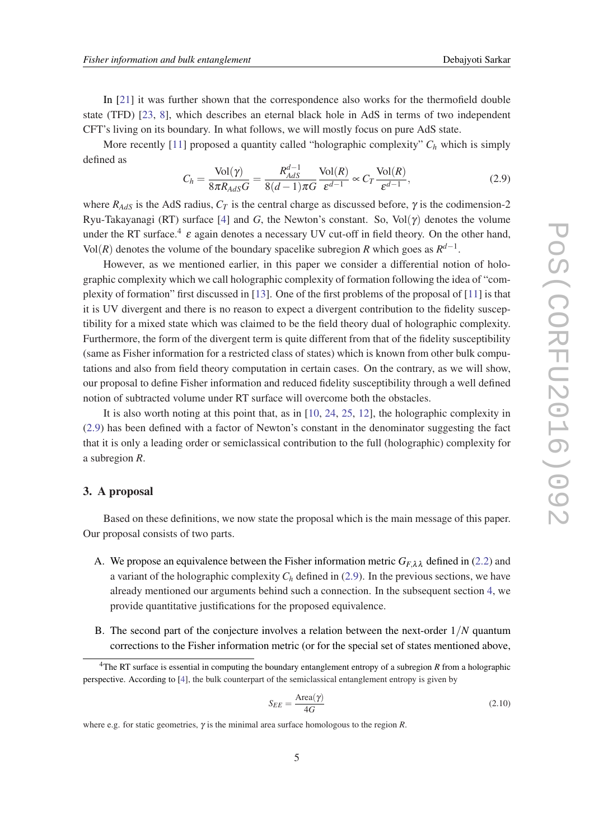<span id="page-5-0"></span>In [\[21\]](#page-17-0) it was further shown that the correspondence also works for the thermofield double state (TFD) [[23,](#page-17-0) [8\]](#page-16-0), which describes an eternal black hole in AdS in terms of two independent CFT's living on its boundary. In what follows, we will mostly focus on pure AdS state.

More recently [[11\]](#page-16-0) proposed a quantity called "holographic complexity"  $C_h$  which is simply defined as

$$
C_h = \frac{\text{Vol}(\gamma)}{8\pi R_{AdS}G} = \frac{R_{AdS}^{d-1}}{8(d-1)\pi G} \frac{\text{Vol}(R)}{\varepsilon^{d-1}} \propto C_T \frac{\text{Vol}(R)}{\varepsilon^{d-1}},\tag{2.9}
$$

where  $R_{AdS}$  is the AdS radius,  $C_T$  is the central charge as discussed before,  $\gamma$  is the codimension-2 Ryu-Takayanagi (RT) surface [[4\]](#page-16-0) and *G*, the Newton's constant. So, Vol( $\gamma$ ) denotes the volume under the RT surface.<sup>4</sup>  $\varepsilon$  again denotes a necessary UV cut-off in field theory. On the other hand, Vol(*R*) denotes the volume of the boundary spacelike subregion *R* which goes as  $R^{d-1}$ .

However, as we mentioned earlier, in this paper we consider a differential notion of holographic complexity which we call holographic complexity of formation following the idea of "complexity of formation" first discussed in [[13\]](#page-17-0). One of the first problems of the proposal of [[11\]](#page-16-0) is that it is UV divergent and there is no reason to expect a divergent contribution to the fidelity susceptibility for a mixed state which was claimed to be the field theory dual of holographic complexity. Furthermore, the form of the divergent term is quite different from that of the fidelity susceptibility (same as Fisher information for a restricted class of states) which is known from other bulk computations and also from field theory computation in certain cases. On the contrary, as we will show, our proposal to define Fisher information and reduced fidelity susceptibility through a well defined notion of subtracted volume under RT surface will overcome both the obstacles.

It is also worth noting at this point that, as in [\[10,](#page-16-0) [24,](#page-17-0) [25](#page-17-0), [12](#page-17-0)], the holographic complexity in (2.9) has been defined with a factor of Newton's constant in the denominator suggesting the fact that it is only a leading order or semiclassical contribution to the full (holographic) complexity for a subregion *R*.

## 3. A proposal

Based on these definitions, we now state the proposal which is the main message of this paper. Our proposal consists of two parts.

- A. We propose an equivalence between the Fisher information metric  $G_{F,\lambda\lambda}$  defined in [\(2.2](#page-2-0)) and a variant of the holographic complexity  $C_h$  defined in (2.9). In the previous sections, we have already mentioned our arguments behind such a connection. In the subsequent section [4,](#page-6-0) we provide quantitative justifications for the proposed equivalence.
- B. The second part of the conjecture involves a relation between the next-order 1/*N* quantum corrections to the Fisher information metric (or for the special set of states mentioned above,

$$
S_{EE} = \frac{\text{Area}(\gamma)}{4G} \tag{2.10}
$$

<sup>4</sup>The RT surface is essential in computing the boundary entanglement entropy of a subregion *R* from a holographic perspective. According to [\[4\]](#page-16-0), the bulk counterpart of the semiclassical entanglement entropy is given by

where e.g. for static geometries, γ is the minimal area surface homologous to the region *R*.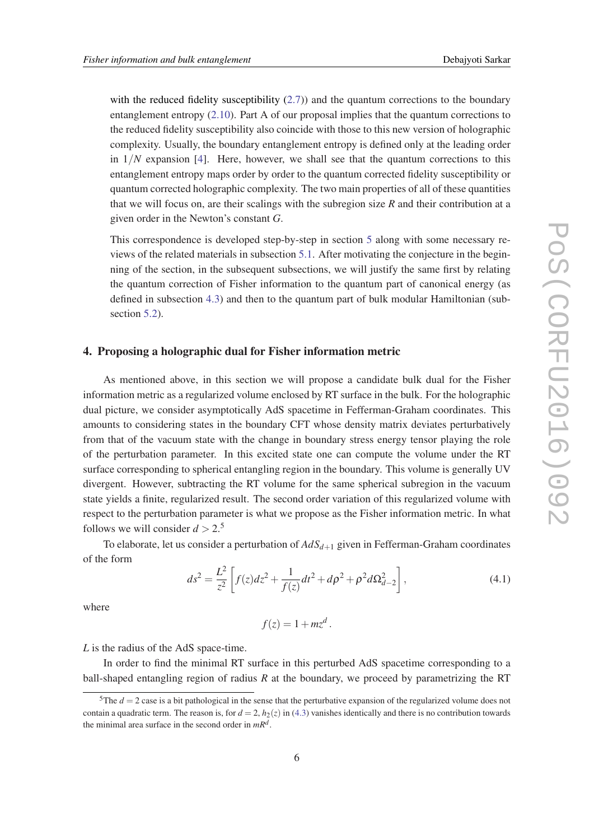<span id="page-6-0"></span>with the reduced fidelity susceptibility  $(2.7)$  $(2.7)$  and the quantum corrections to the boundary entanglement entropy ([2.10\)](#page-5-0). Part A of our proposal implies that the quantum corrections to the reduced fidelity susceptibility also coincide with those to this new version of holographic complexity. Usually, the boundary entanglement entropy is defined only at the leading order in  $1/N$  expansion [\[4\]](#page-16-0). Here, however, we shall see that the quantum corrections to this entanglement entropy maps order by order to the quantum corrected fidelity susceptibility or quantum corrected holographic complexity. The two main properties of all of these quantities that we will focus on, are their scalings with the subregion size *R* and their contribution at a given order in the Newton's constant *G*.

This correspondence is developed step-by-step in section [5](#page-11-0) along with some necessary reviews of the related materials in subsection [5.1](#page-11-0). After motivating the conjecture in the beginning of the section, in the subsequent subsections, we will justify the same first by relating the quantum correction of Fisher information to the quantum part of canonical energy (as defined in subsection [4.3](#page-9-0)) and then to the quantum part of bulk modular Hamiltonian (sub-section [5.2\)](#page-14-0).

## 4. Proposing a holographic dual for Fisher information metric

As mentioned above, in this section we will propose a candidate bulk dual for the Fisher information metric as a regularized volume enclosed by RT surface in the bulk. For the holographic dual picture, we consider asymptotically AdS spacetime in Fefferman-Graham coordinates. This amounts to considering states in the boundary CFT whose density matrix deviates perturbatively from that of the vacuum state with the change in boundary stress energy tensor playing the role of the perturbation parameter. In this excited state one can compute the volume under the RT surface corresponding to spherical entangling region in the boundary. This volume is generally UV divergent. However, subtracting the RT volume for the same spherical subregion in the vacuum state yields a finite, regularized result. The second order variation of this regularized volume with respect to the perturbation parameter is what we propose as the Fisher information metric. In what follows we will consider  $d > 2.5$ 

To elaborate, let us consider a perturbation of *AdSd*+<sup>1</sup> given in Fefferman-Graham coordinates of the form

$$
ds^{2} = \frac{L^{2}}{z^{2}} \left[ f(z)dz^{2} + \frac{1}{f(z)}dt^{2} + d\rho^{2} + \rho^{2}d\Omega_{d-2}^{2} \right],
$$
\n(4.1)

where

$$
f(z) = 1 + mz^d.
$$

*L* is the radius of the AdS space-time.

In order to find the minimal RT surface in this perturbed AdS spacetime corresponding to a ball-shaped entangling region of radius *R* at the boundary, we proceed by parametrizing the RT

<sup>&</sup>lt;sup>5</sup>The  $d = 2$  case is a bit pathological in the sense that the perturbative expansion of the regularized volume does not contain a quadratic term. The reason is, for  $d = 2$ ,  $h_2(z)$  in ([4.3\)](#page-7-0) vanishes identically and there is no contribution towards the minimal area surface in the second order in *mR<sup>d</sup>* .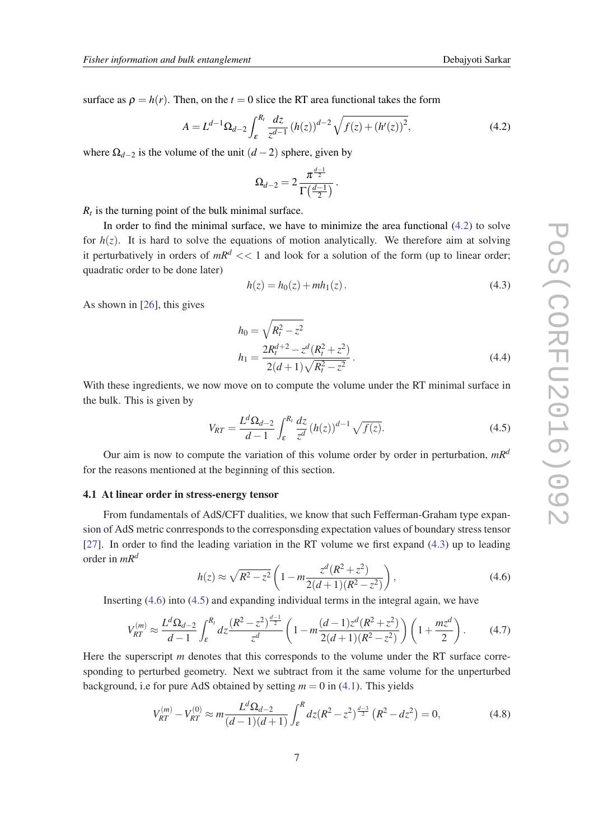<span id="page-7-0"></span>surface as  $\rho = h(r)$ . Then, on the  $t = 0$  slice the RT area functional takes the form

$$
A = L^{d-1} \Omega_{d-2} \int_{\varepsilon}^{R_t} \frac{dz}{z^{d-1}} \left( h(z) \right)^{d-2} \sqrt{f(z) + \left( h'(z) \right)^2},\tag{4.2}
$$

where  $\Omega_{d-2}$  is the volume of the unit  $(d-2)$  sphere, given by

$$
\Omega_{d-2}=2\,\frac{\pi^{\frac{d-1}{2}}}{\Gamma\big(\frac{d-1}{2}\big)}\,.
$$

 $R_t$  is the turning point of the bulk minimal surface.

In order to find the minimal surface, we have to minimize the area functional (4.2) to solve for  $h(z)$ . It is hard to solve the equations of motion analytically. We therefore aim at solving it perturbatively in orders of  $mR<sup>d</sup> << 1$  and look for a solution of the form (up to linear order; quadratic order to be done later)

$$
h(z) = h_0(z) + mh_1(z).
$$
 (4.3)

As shown in [[26\]](#page-17-0), this gives

$$
h_0 = \sqrt{R_t^2 - z^2}
$$
  
\n
$$
h_1 = \frac{2R_t^{d+2} - z^d (R_t^2 + z^2)}{2(d+1)\sqrt{R_t^2 - z^2}}.
$$
\n(4.4)

With these ingredients, we now move on to compute the volume under the RT minimal surface in the bulk. This is given by

$$
V_{RT} = \frac{L^d \Omega_{d-2}}{d-1} \int_{\varepsilon}^{R_t} \frac{dz}{z^d} (h(z))^{d-1} \sqrt{f(z)}.
$$
 (4.5)

Our aim is now to compute the variation of this volume order by order in perturbation, *mR<sup>d</sup>* for the reasons mentioned at the beginning of this section.

#### 4.1 At linear order in stress-energy tensor

From fundamentals of AdS/CFT dualities, we know that such Fefferman-Graham type expansion of AdS metric conrresponds to the corresponsding expectation values of boundary stress tensor [[27\]](#page-17-0). In order to find the leading variation in the RT volume we first expand (4.3) up to leading order in *mR<sup>d</sup>*

$$
h(z) \approx \sqrt{R^2 - z^2} \left( 1 - m \frac{z^d (R^2 + z^2)}{2(d+1)(R^2 - z^2)} \right),
$$
\n(4.6)

Inserting (4.6) into (4.5) and expanding individual terms in the integral again, we have

$$
V_{RT}^{(m)} \approx \frac{L^d \Omega_{d-2}}{d-1} \int_{\varepsilon}^{R_t} dz \frac{\left(R^2 - z^2\right)^{\frac{d-1}{2}}}{z^d} \left(1 - m \frac{(d-1)z^d (R^2 + z^2)}{2(d+1)(R^2 - z^2)}\right) \left(1 + \frac{m z^d}{2}\right). \tag{4.7}
$$

Here the superscript *m* denotes that this corresponds to the volume under the RT surface corresponding to perturbed geometry. Next we subtract from it the same volume for the unperturbed background, i.e for pure AdS obtained by setting  $m = 0$  in [\(4.1\)](#page-6-0). This yields

$$
V_{RT}^{(m)} - V_{RT}^{(0)} \approx m \frac{L^d \Omega_{d-2}}{(d-1)(d+1)} \int_{\varepsilon}^R dz (R^2 - z^2)^{\frac{d-3}{2}} (R^2 - dz^2) = 0,
$$
 (4.8)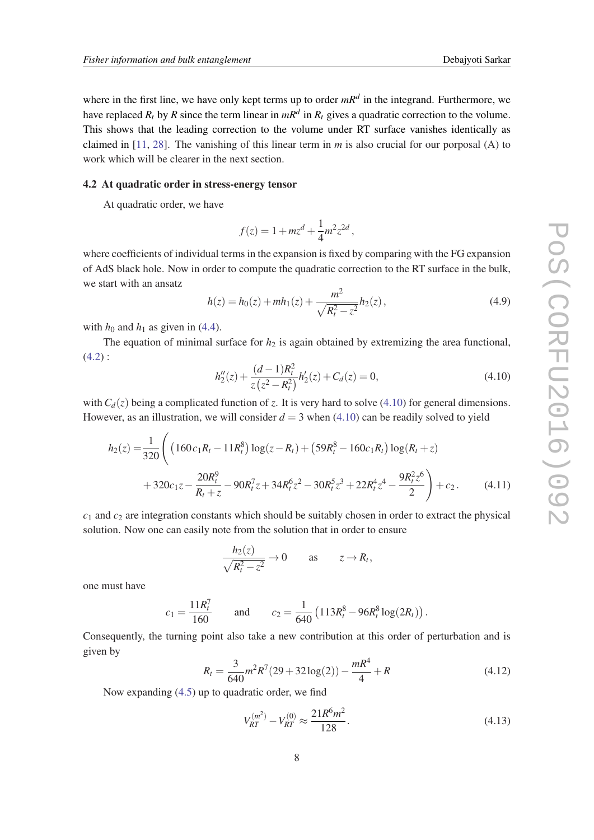where in the first line, we have only kept terms up to order *mR<sup>d</sup>* in the integrand. Furthermore, we have replaced  $R_t$  by  $R$  since the term linear in  $mR^d$  in  $R_t$  gives a quadratic correction to the volume. This shows that the leading correction to the volume under RT surface vanishes identically as claimed in [\[11](#page-16-0), [28](#page-17-0)]. The vanishing of this linear term in *m* is also crucial for our porposal (A) to work which will be clearer in the next section.

## 4.2 At quadratic order in stress-energy tensor

At quadratic order, we have

$$
f(z) = 1 + mz^d + \frac{1}{4}m^2 z^{2d},
$$

where coefficients of individual terms in the expansion is fixed by comparing with the FG expansion of AdS black hole. Now in order to compute the quadratic correction to the RT surface in the bulk, we start with an ansatz

$$
h(z) = h_0(z) + m h_1(z) + \frac{m^2}{\sqrt{R_t^2 - z^2}} h_2(z),
$$
\n(4.9)

with  $h_0$  and  $h_1$  as given in [\(4.4](#page-7-0)).

The equation of minimal surface for  $h_2$  is again obtained by extremizing the area functional,  $(4.2)$  $(4.2)$ :

$$
h''_2(z) + \frac{(d-1)R_t^2}{z(z^2 - R_t^2)}h'_2(z) + C_d(z) = 0,
$$
\n(4.10)

with  $C_d(z)$  being a complicated function of *z*. It is very hard to solve (4.10) for general dimensions. However, as an illustration, we will consider  $d = 3$  when (4.10) can be readily solved to yield

$$
h_2(z) = \frac{1}{320} \left( \left( 160 c_1 R_t - 11 R_t^8 \right) \log(z - R_t) + \left( 59 R_t^8 - 160 c_1 R_t \right) \log(R_t + z) + 320 c_1 z - \frac{20 R_t^9}{R_t + z} - 90 R_t^7 z + 34 R_t^6 z^2 - 30 R_t^5 z^3 + 22 R_t^4 z^4 - \frac{9 R_t^2 z^6}{2} \right) + c_2.
$$
 (4.11)

*c*<sup>1</sup> and *c*<sup>2</sup> are integration constants which should be suitably chosen in order to extract the physical solution. Now one can easily note from the solution that in order to ensure

$$
\frac{h_2(z)}{\sqrt{R_t^2 - z^2}} \to 0 \quad \text{as} \quad z \to R_t,
$$

one must have

$$
c_1 = \frac{11R_t^7}{160}
$$
 and  $c_2 = \frac{1}{640} (113R_t^8 - 96R_t^8 \log(2R_t)).$ 

Consequently, the turning point also take a new contribution at this order of perturbation and is given by

$$
R_t = \frac{3}{640}m^2R^7(29+32\log(2)) - \frac{mR^4}{4} + R
$$
\n(4.12)

Now expanding ([4.5\)](#page-7-0) up to quadratic order, we find

$$
V_{RT}^{(m^2)} - V_{RT}^{(0)} \approx \frac{21R^6m^2}{128}.
$$
\n(4.13)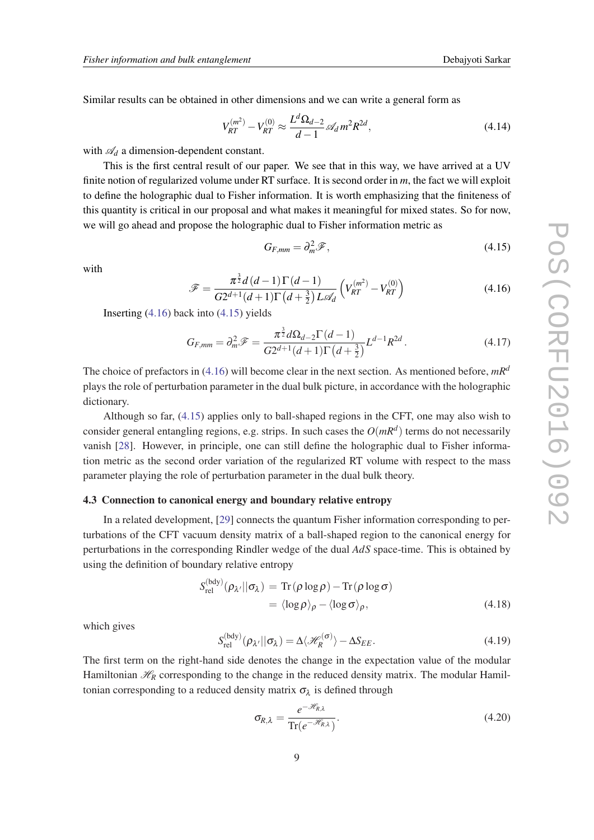<span id="page-9-0"></span>Similar results can be obtained in other dimensions and we can write a general form as

$$
V_{RT}^{(m^2)} - V_{RT}^{(0)} \approx \frac{L^d \Omega_{d-2}}{d-1} \mathcal{A}_d m^2 R^{2d},\tag{4.14}
$$

with  $\mathcal{A}_d$  a dimension-dependent constant.

This is the first central result of our paper. We see that in this way, we have arrived at a UV finite notion of regularized volume under RT surface. It is second order in *m*, the fact we will exploit to define the holographic dual to Fisher information. It is worth emphasizing that the finiteness of this quantity is critical in our proposal and what makes it meaningful for mixed states. So for now, we will go ahead and propose the holographic dual to Fisher information metric as

$$
G_{F,mm} = \partial_m^2 \mathcal{F},\tag{4.15}
$$

with

$$
\mathcal{F} = \frac{\pi^{\frac{3}{2}}d\left(d-1\right)\Gamma\left(d-1\right)}{G2^{d+1}(d+1)\Gamma\left(d+\frac{3}{2}\right)L\mathscr{A}_d}\left(V_{RT}^{(m^2)} - V_{RT}^{(0)}\right) \tag{4.16}
$$

Inserting (4.16) back into (4.15) yields

$$
G_{F,mm} = \partial_m^2 \mathcal{F} = \frac{\pi^{\frac{3}{2}} d\Omega_{d-2} \Gamma(d-1)}{G 2^{d+1} (d+1) \Gamma(d+\frac{3}{2})} L^{d-1} R^{2d}.
$$
 (4.17)

The choice of prefactors in (4.16) will become clear in the next section. As mentioned before, *mR<sup>d</sup>* plays the role of perturbation parameter in the dual bulk picture, in accordance with the holographic dictionary.

Although so far, (4.15) applies only to ball-shaped regions in the CFT, one may also wish to consider general entangling regions, e.g. strips. In such cases the *O*(*mR<sup>d</sup>* ) terms do not necessarily vanish [[28\]](#page-17-0). However, in principle, one can still define the holographic dual to Fisher information metric as the second order variation of the regularized RT volume with respect to the mass parameter playing the role of perturbation parameter in the dual bulk theory.

## 4.3 Connection to canonical energy and boundary relative entropy

In a related development, [[29\]](#page-17-0) connects the quantum Fisher information corresponding to perturbations of the CFT vacuum density matrix of a ball-shaped region to the canonical energy for perturbations in the corresponding Rindler wedge of the dual *AdS* space-time. This is obtained by using the definition of boundary relative entropy

$$
S_{\text{rel}}^{(\text{bdy})}(\rho_{\lambda'}||\sigma_{\lambda}) = \text{Tr}(\rho \log \rho) - \text{Tr}(\rho \log \sigma)
$$
  
=  $\langle \log \rho \rangle_{\rho} - \langle \log \sigma \rangle_{\rho},$  (4.18)

which gives

$$
S_{\text{rel}}^{(\text{bdy})}(\rho_{\lambda'}||\sigma_{\lambda}) = \Delta \langle \mathcal{H}_R^{(\sigma)} \rangle - \Delta S_{EE}.
$$
 (4.19)

The first term on the right-hand side denotes the change in the expectation value of the modular Hamiltonian  $\mathcal{H}_R$  corresponding to the change in the reduced density matrix. The modular Hamiltonian corresponding to a reduced density matrix  $\sigma_{\lambda}$  is defined through

$$
\sigma_{R,\lambda} = \frac{e^{-\mathcal{H}_{R,\lambda}}}{\text{Tr}(e^{-\mathcal{H}_{R,\lambda}})}.
$$
\n(4.20)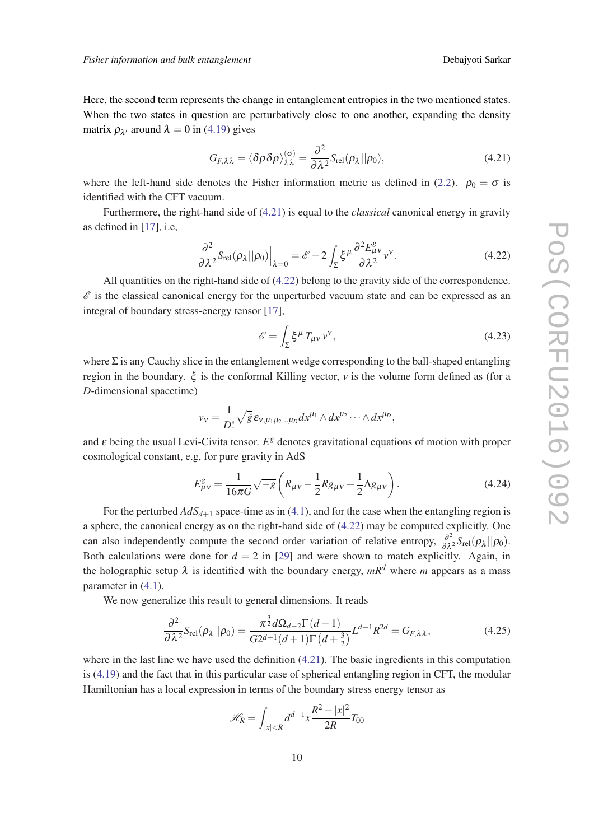<span id="page-10-0"></span>Here, the second term represents the change in entanglement entropies in the two mentioned states. When the two states in question are perturbatively close to one another, expanding the density matrix  $\rho_{\lambda'}$  around  $\lambda = 0$  in ([4.19](#page-9-0)) gives

$$
G_{F,\lambda\lambda} = \langle \delta\rho \delta\rho \rangle_{\lambda\lambda}^{(\sigma)} = \frac{\partial^2}{\partial\lambda^2} S_{\text{rel}}(\rho_{\lambda} || \rho_0), \tag{4.21}
$$

where the left-hand side denotes the Fisher information metric as defined in ([2.2](#page-2-0)).  $\rho_0 = \sigma$  is identified with the CFT vacuum.

Furthermore, the right-hand side of (4.21) is equal to the *classical* canonical energy in gravity as defined in [[17\]](#page-17-0), i.e,

$$
\frac{\partial^2}{\partial \lambda^2} S_{\text{rel}}(\rho_\lambda || \rho_0) \Big|_{\lambda=0} = \mathscr{E} - 2 \int_{\Sigma} \xi^\mu \frac{\partial^2 E_{\mu\nu}^g}{\partial \lambda^2} v^\nu. \tag{4.22}
$$

All quantities on the right-hand side of (4.22) belong to the gravity side of the correspondence.  $\mathscr E$  is the classical canonical energy for the unperturbed vacuum state and can be expressed as an integral of boundary stress-energy tensor [\[17\]](#page-17-0),

$$
\mathscr{E} = \int_{\Sigma} \xi^{\mu} T_{\mu\nu} v^{\nu},\tag{4.23}
$$

where  $\Sigma$  is any Cauchy slice in the entanglement wedge corresponding to the ball-shaped entangling region in the boundary. ξ is the conformal Killing vector, *v* is the volume form defined as (for a *D*-dimensional spacetime)

$$
v_v = \frac{1}{D!} \sqrt{\tilde{g}} \,\varepsilon_{v,\mu_1\mu_2\ldots\mu_D} dx^{\mu_1} \wedge dx^{\mu_2} \cdots \wedge dx^{\mu_D},
$$

and ε being the usual Levi-Civita tensor. *E<sup>g</sup>* denotes gravitational equations of motion with proper cosmological constant, e.g, for pure gravity in AdS

$$
E_{\mu\nu}^{g} = \frac{1}{16\pi G} \sqrt{-g} \left( R_{\mu\nu} - \frac{1}{2} R g_{\mu\nu} + \frac{1}{2} \Lambda g_{\mu\nu} \right). \tag{4.24}
$$

For the perturbed  $AdS_{d+1}$  space-time as in [\(4.1\)](#page-6-0), and for the case when the entangling region is a sphere, the canonical energy as on the right-hand side of (4.22) may be computed explicitly. One can also independently compute the second order variation of relative entropy,  $\frac{\partial^2}{\partial \lambda^2} S_{rel}(\rho_\lambda || \rho_0)$ . Both calculations were done for  $d = 2$  in [\[29](#page-17-0)] and were shown to match explicitly. Again, in the holographic setup  $\lambda$  is identified with the boundary energy,  $mR^d$  where *m* appears as a mass parameter in ([4.1](#page-6-0)).

We now generalize this result to general dimensions. It reads

$$
\frac{\partial^2}{\partial \lambda^2} S_{\text{rel}}(\rho_\lambda || \rho_0) = \frac{\pi^{\frac{3}{2}} d\Omega_{d-2} \Gamma(d-1)}{G 2^{d+1} (d+1) \Gamma(d+\frac{3}{2})} L^{d-1} R^{2d} = G_{F,\lambda\lambda},\tag{4.25}
$$

where in the last line we have used the definition  $(4.21)$ . The basic ingredients in this computation is ([4.19](#page-9-0)) and the fact that in this particular case of spherical entangling region in CFT, the modular Hamiltonian has a local expression in terms of the boundary stress energy tensor as

$$
\mathcal{H}_{R} = \int_{|x| < R} d^{d-1} x \frac{R^{2} - |x|^{2}}{2R} T_{00}
$$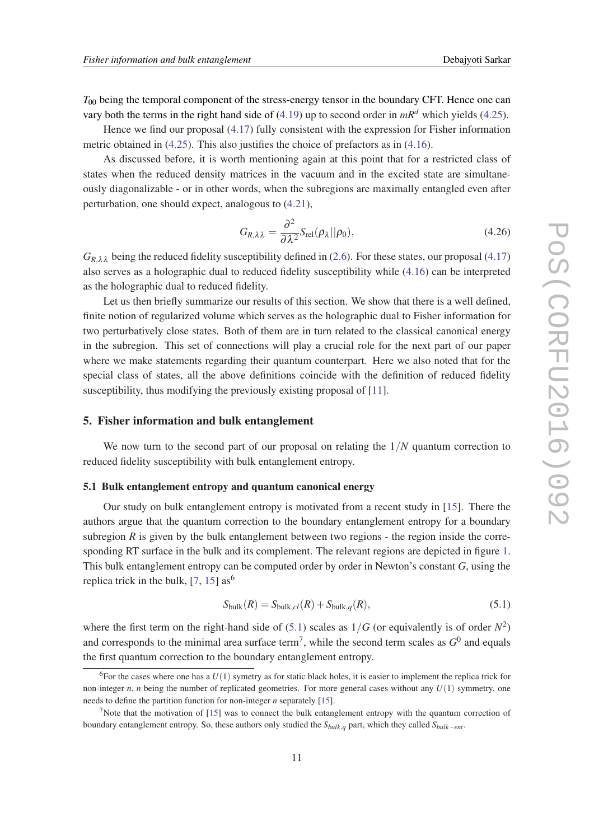<span id="page-11-0"></span> $T_{00}$  being the temporal component of the stress-energy tensor in the boundary CFT. Hence one can vary both the terms in the right hand side of ([4.19\)](#page-9-0) up to second order in  $mR<sup>d</sup>$  which yields ([4.25\)](#page-10-0).

Hence we find our proposal [\(4.17](#page-9-0)) fully consistent with the expression for Fisher information metric obtained in [\(4.25](#page-10-0)). This also justifies the choice of prefactors as in ([4.16](#page-9-0)).

As discussed before, it is worth mentioning again at this point that for a restricted class of states when the reduced density matrices in the vacuum and in the excited state are simultaneously diagonalizable - or in other words, when the subregions are maximally entangled even after perturbation, one should expect, analogous to ([4.21](#page-10-0)),

$$
G_{R,\lambda\lambda} = \frac{\partial^2}{\partial \lambda^2} S_{\text{rel}}(\rho_\lambda || \rho_0), \tag{4.26}
$$

 $G_{R,\lambda\lambda}$  being the reduced fidelity susceptibility defined in ([2.6\)](#page-3-0). For these states, our proposal [\(4.17](#page-9-0)) also serves as a holographic dual to reduced fidelity susceptibility while [\(4.16](#page-9-0)) can be interpreted as the holographic dual to reduced fidelity.

Let us then briefly summarize our results of this section. We show that there is a well defined, finite notion of regularized volume which serves as the holographic dual to Fisher information for two perturbatively close states. Both of them are in turn related to the classical canonical energy in the subregion. This set of connections will play a crucial role for the next part of our paper where we make statements regarding their quantum counterpart. Here we also noted that for the special class of states, all the above definitions coincide with the definition of reduced fidelity susceptibility, thus modifying the previously existing proposal of [[11\]](#page-16-0).

## 5. Fisher information and bulk entanglement

We now turn to the second part of our proposal on relating the  $1/N$  quantum correction to reduced fidelity susceptibility with bulk entanglement entropy.

## 5.1 Bulk entanglement entropy and quantum canonical energy

Our study on bulk entanglement entropy is motivated from a recent study in [[15\]](#page-17-0). There the authors argue that the quantum correction to the boundary entanglement entropy for a boundary subregion  $R$  is given by the bulk entanglement between two regions - the region inside the corresponding RT surface in the bulk and its complement. The relevant regions are depicted in figure [1](#page-12-0). This bulk entanglement entropy can be computed order by order in Newton's constant *G*, using the replica trick in the bulk,  $[7, 15]$  $[7, 15]$  $[7, 15]$  as<sup>6</sup>

$$
S_{\text{bulk}}(R) = S_{\text{bulk},cl}(R) + S_{\text{bulk},q}(R),\tag{5.1}
$$

where the first term on the right-hand side of  $(5.1)$  scales as  $1/G$  (or equivalently is of order  $N^2$ ) and corresponds to the minimal area surface term<sup>7</sup>, while the second term scales as  $G^0$  and equals the first quantum correction to the boundary entanglement entropy.

<sup>&</sup>lt;sup>6</sup>For the cases where one has a  $U(1)$  symetry as for static black holes, it is easier to implement the replica trick for non-integer *n*, *n* being the number of replicated geometries. For more general cases without any  $U(1)$  symmetry, one needs to define the partition function for non-integer *n* separately [[15\]](#page-17-0).

<sup>&</sup>lt;sup>7</sup>Note that the motivation of  $[15]$  $[15]$  was to connect the bulk entanglement entropy with the quantum correction of boundary entanglement entropy. So, these authors only studied the *Sbulk*,*<sup>q</sup>* part, which they called *Sbulk*−*ent* .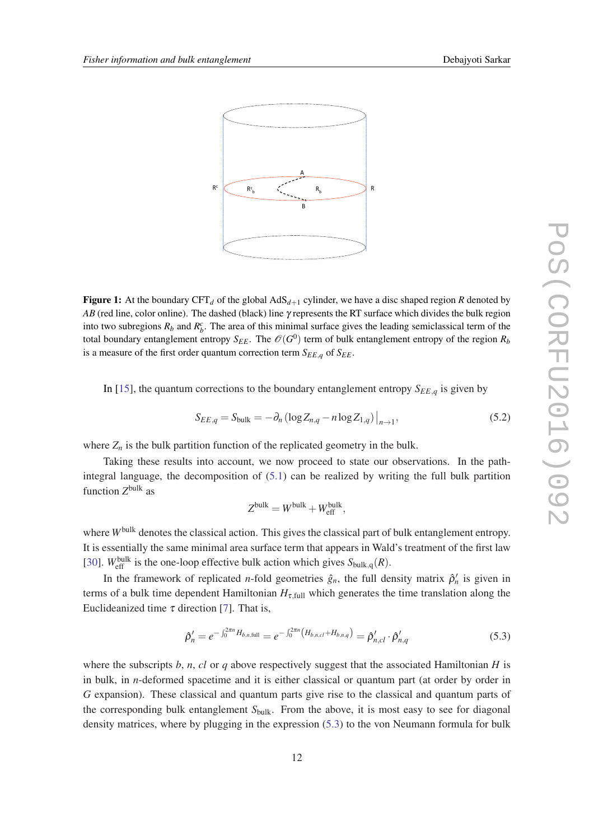<span id="page-12-0"></span>

**Figure 1:** At the boundary CFT<sub>d</sub> of the global  $AdS_{d+1}$  cylinder, we have a disc shaped region *R* denoted by *AB* (red line, color online). The dashed (black) line γ represents the RT surface which divides the bulk region into two subregions  $R_b$  and  $R_b^c$ . The area of this minimal surface gives the leading semiclassical term of the total boundary entanglement entropy  $S_{EE}$ . The  $\mathscr{O}(G^0)$  term of bulk entanglement entropy of the region  $R_b$ is a measure of the first order quantum correction term  $S_{EE,q}$  of  $S_{EE}$ .

In [\[15](#page-17-0)], the quantum corrections to the boundary entanglement entropy  $S_{EE,q}$  is given by

$$
S_{EE,q} = S_{\text{bulk}} = -\partial_n \left( \log Z_{n,q} - n \log Z_{1,q} \right) \Big|_{n \to 1},\tag{5.2}
$$

where  $Z_n$  is the bulk partition function of the replicated geometry in the bulk.

Taking these results into account, we now proceed to state our observations. In the pathintegral language, the decomposition of [\(5.1\)](#page-11-0) can be realized by writing the full bulk partition function  $Z^{\text{bulk}}$  as

$$
Z^{\text{bulk}} = W^{\text{bulk}} + W^{\text{bulk}}_{\text{eff}},
$$

where *W*<sup>bulk</sup> denotes the classical action. This gives the classical part of bulk entanglement entropy. It is essentially the same minimal area surface term that appears in Wald's treatment of the first law [[30\]](#page-17-0).  $W_{\text{eff}}^{\text{bulk}}$  is the one-loop effective bulk action which gives  $S_{\text{bulk},q}(R)$ .

In the framework of replicated *n*-fold geometries  $\hat{g}_n$ , the full density matrix  $\hat{\rho}'_n$  is given in terms of a bulk time dependent Hamiltonian  $H_{\tau, full}$  which generates the time translation along the Euclideanized time  $\tau$  direction [[7](#page-16-0)]. That is,

$$
\hat{\rho}'_n = e^{-\int_0^{2\pi n} H_{b,n,\text{full}}} = e^{-\int_0^{2\pi n} \left( H_{b,n,\text{cl}} + H_{b,n,q} \right)} = \hat{\rho}'_{n,\text{cl}} \cdot \hat{\rho}'_{n,q} \tag{5.3}
$$

where the subscripts  $b, n, cl$  or  $q$  above respectively suggest that the associated Hamiltonian  $H$  is in bulk, in *n*-deformed spacetime and it is either classical or quantum part (at order by order in *G* expansion). These classical and quantum parts give rise to the classical and quantum parts of the corresponding bulk entanglement S<sub>bulk</sub>. From the above, it is most easy to see for diagonal density matrices, where by plugging in the expression (5.3) to the von Neumann formula for bulk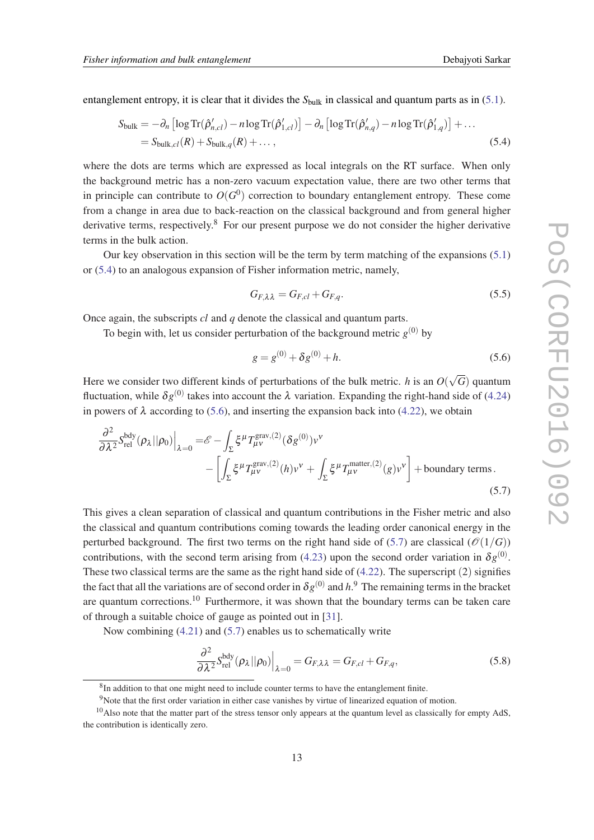<span id="page-13-0"></span>entanglement entropy, it is clear that it divides the  $S<sub>bulk</sub>$  in classical and quantum parts as in [\(5.1\)](#page-11-0).

$$
S_{\text{bulk}} = -\partial_n \left[ \log \text{Tr}(\hat{\rho}_{n,cl}') - n \log \text{Tr}(\hat{\rho}_{1,cl}') \right] - \partial_n \left[ \log \text{Tr}(\hat{\rho}_{n,q}') - n \log \text{Tr}(\hat{\rho}_{1,q}') \right] + \dots
$$
  
= 
$$
S_{\text{bulk},cl}(R) + S_{\text{bulk},q}(R) + \dots,
$$
 (5.4)

where the dots are terms which are expressed as local integrals on the RT surface. When only the background metric has a non-zero vacuum expectation value, there are two other terms that in principle can contribute to  $O(G^0)$  correction to boundary entanglement entropy. These come from a change in area due to back-reaction on the classical background and from general higher derivative terms, respectively. $8$  For our present purpose we do not consider the higher derivative terms in the bulk action.

Our key observation in this section will be the term by term matching of the expansions ([5.1](#page-11-0)) or (5.4) to an analogous expansion of Fisher information metric, namely,

$$
G_{F,\lambda\lambda} = G_{F,cl} + G_{F,q}.\tag{5.5}
$$

Once again, the subscripts *cl* and *q* denote the classical and quantum parts.

To begin with, let us consider perturbation of the background metric  $g^{(0)}$  by

$$
g = g^{(0)} + \delta g^{(0)} + h. \tag{5.6}
$$

Here we consider two different kinds of perturbations of the bulk metric. *h* is an *O*( √ *G*) quantum fluctuation, while  $\delta g^{(0)}$  takes into account the  $\lambda$  variation. Expanding the right-hand side of [\(4.24](#page-10-0)) in powers of  $\lambda$  according to (5.6), and inserting the expansion back into ([4.22\)](#page-10-0), we obtain

$$
\frac{\partial^2}{\partial \lambda^2} S_{\text{rel}}^{\text{bdy}}(\rho_\lambda || \rho_0) \Big|_{\lambda=0} = \mathscr{E} - \int_{\Sigma} \xi^\mu T_{\mu\nu}^{\text{grav},(2)} (\delta g^{(0)}) \nu^{\nu} \n- \left[ \int_{\Sigma} \xi^\mu T_{\mu\nu}^{\text{grav},(2)}(h) \nu^{\nu} + \int_{\Sigma} \xi^\mu T_{\mu\nu}^{\text{matter},(2)}(g) \nu^{\nu} \right] + \text{boundary terms.}
$$
\n(5.7)

This gives a clean separation of classical and quantum contributions in the Fisher metric and also the classical and quantum contributions coming towards the leading order canonical energy in the perturbed background. The first two terms on the right hand side of (5.7) are classical ( $\mathcal{O}(1/G)$ ) contributions, with the second term arising from ([4.23\)](#page-10-0) upon the second order variation in  $\delta g^{(0)}$ . These two classical terms are the same as the right hand side of [\(4.22](#page-10-0)). The superscript (2) signifies the fact that all the variations are of second order in  $\delta g^{(0)}$  and  $h$ .<sup>9</sup> The remaining terms in the bracket are quantum corrections.<sup>10</sup> Furthermore, it was shown that the boundary terms can be taken care of through a suitable choice of gauge as pointed out in [[31](#page-18-0)].

Now combining [\(4.21](#page-10-0)) and (5.7) enables us to schematically write

$$
\frac{\partial^2}{\partial \lambda^2} S_{\text{rel}}^{\text{bdy}}(\rho_\lambda || \rho_0) \Big|_{\lambda=0} = G_{F,\lambda\lambda} = G_{F,cl} + G_{F,q},\tag{5.8}
$$

 ${}^{8}$ In addition to that one might need to include counter terms to have the entanglement finite.

<sup>&</sup>lt;sup>9</sup>Note that the first order variation in either case vanishes by virtue of linearized equation of motion.

 $10$ Also note that the matter part of the stress tensor only appears at the quantum level as classically for empty AdS, the contribution is identically zero.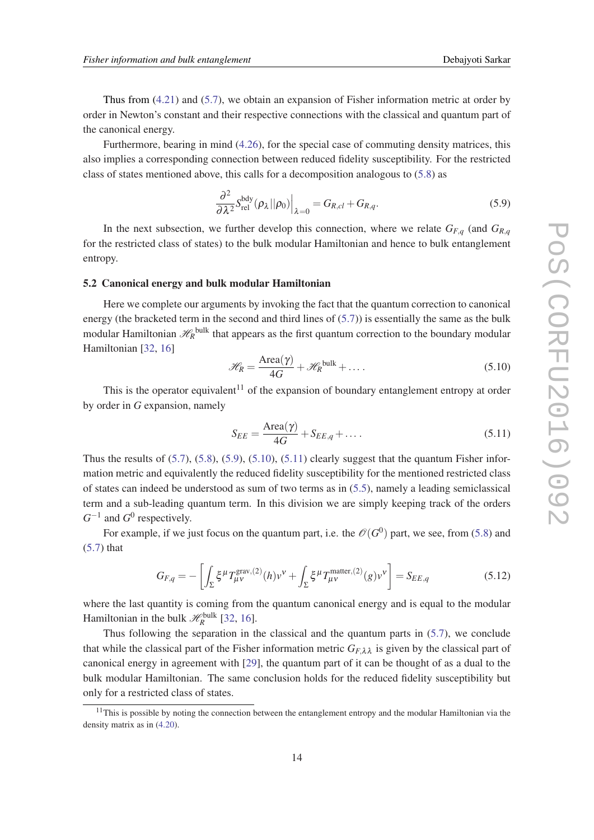<span id="page-14-0"></span>Thus from ([4.21\)](#page-10-0) and [\(5.7\)](#page-13-0), we obtain an expansion of Fisher information metric at order by order in Newton's constant and their respective connections with the classical and quantum part of the canonical energy.

Furthermore, bearing in mind ([4.26\)](#page-11-0), for the special case of commuting density matrices, this also implies a corresponding connection between reduced fidelity susceptibility. For the restricted class of states mentioned above, this calls for a decomposition analogous to [\(5.8\)](#page-13-0) as

$$
\frac{\partial^2}{\partial \lambda^2} S_{\text{rel}}^{\text{bdy}}(\rho_\lambda || \rho_0) \Big|_{\lambda=0} = G_{R,cl} + G_{R,q}.
$$
\n(5.9)

In the next subsection, we further develop this connection, where we relate  $G_{F,q}$  (and  $G_{R,q}$ for the restricted class of states) to the bulk modular Hamiltonian and hence to bulk entanglement entropy.

### 5.2 Canonical energy and bulk modular Hamiltonian

Here we complete our arguments by invoking the fact that the quantum correction to canonical energy (the bracketed term in the second and third lines of [\(5.7\)](#page-13-0)) is essentially the same as the bulk modular Hamiltonian  $\mathscr{H}_{R}^{\text{bulk}}$  that appears as the first quantum correction to the boundary modular Hamiltonian [\[32](#page-18-0), [16\]](#page-17-0)

$$
\mathcal{H}_R = \frac{\text{Area}(\gamma)}{4G} + \mathcal{H}_R^{\text{bulk}} + \dots
$$
 (5.10)

This is the operator equivalent<sup>11</sup> of the expansion of boundary entanglement entropy at order by order in *G* expansion, namely

$$
S_{EE} = \frac{\text{Area}(\gamma)}{4G} + S_{EE,q} + \dots \tag{5.11}
$$

Thus the results of  $(5.7)$ ,  $(5.8)$ ,  $(5.9)$ ,  $(5.10)$ ,  $(5.11)$  clearly suggest that the quantum Fisher information metric and equivalently the reduced fidelity susceptibility for the mentioned restricted class of states can indeed be understood as sum of two terms as in [\(5.5\)](#page-13-0), namely a leading semiclassical term and a sub-leading quantum term. In this division we are simply keeping track of the orders  $G^{-1}$  and  $G^0$  respectively.

For example, if we just focus on the quantum part, i.e. the  $\mathscr{O}(G^0)$  part, we see, from [\(5.8\)](#page-13-0) and ([5.7\)](#page-13-0) that

$$
G_{F,q} = -\left[\int_{\Sigma} \xi^{\mu} T_{\mu\nu}^{\text{grav},(2)}(h) v^{\nu} + \int_{\Sigma} \xi^{\mu} T_{\mu\nu}^{\text{matter},(2)}(g) v^{\nu}\right] = S_{EE,q}
$$
(5.12)

where the last quantity is coming from the quantum canonical energy and is equal to the modular Hamiltonian in the bulk  $\mathcal{H}_R^{\text{bulk}}$  [\[32](#page-18-0), [16\]](#page-17-0).

Thus following the separation in the classical and the quantum parts in ([5.7](#page-13-0)), we conclude that while the classical part of the Fisher information metric  $G_{F\lambda\lambda}$  is given by the classical part of canonical energy in agreement with [[29](#page-17-0)], the quantum part of it can be thought of as a dual to the bulk modular Hamiltonian. The same conclusion holds for the reduced fidelity susceptibility but only for a restricted class of states.

 $11$ This is possible by noting the connection between the entanglement entropy and the modular Hamiltonian via the density matrix as in [\(4.20\)](#page-9-0).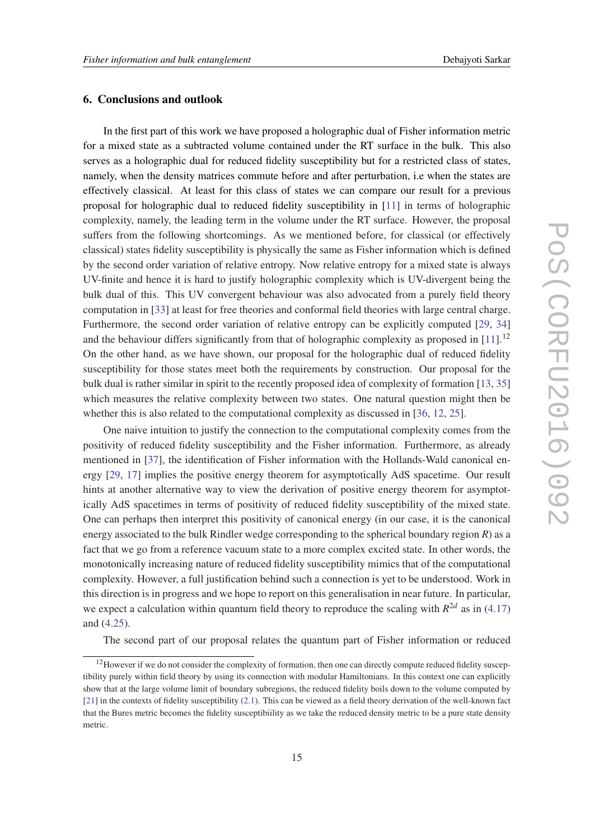# <span id="page-15-0"></span>6. Conclusions and outlook

In the first part of this work we have proposed a holographic dual of Fisher information metric for a mixed state as a subtracted volume contained under the RT surface in the bulk. This also serves as a holographic dual for reduced fidelity susceptibility but for a restricted class of states, namely, when the density matrices commute before and after perturbation, i.e when the states are effectively classical. At least for this class of states we can compare our result for a previous proposal for holographic dual to reduced fidelity susceptibility in [[11\]](#page-16-0) in terms of holographic complexity, namely, the leading term in the volume under the RT surface. However, the proposal suffers from the following shortcomings. As we mentioned before, for classical (or effectively classical) states fidelity susceptibility is physically the same as Fisher information which is defined by the second order variation of relative entropy. Now relative entropy for a mixed state is always UV-finite and hence it is hard to justify holographic complexity which is UV-divergent being the bulk dual of this. This UV convergent behaviour was also advocated from a purely field theory computation in [\[33](#page-18-0)] at least for free theories and conformal field theories with large central charge. Furthermore, the second order variation of relative entropy can be explicitly computed [[29,](#page-17-0) [34](#page-18-0)] and the behaviour differs significantly from that of holographic complexity as proposed in  $[11]$  $[11]$ .<sup>12</sup> On the other hand, as we have shown, our proposal for the holographic dual of reduced fidelity susceptibility for those states meet both the requirements by construction. Our proposal for the bulk dual is rather similar in spirit to the recently proposed idea of complexity of formation [\[13](#page-17-0), [35](#page-18-0)] which measures the relative complexity between two states. One natural question might then be whether this is also related to the computational complexity as discussed in [[36,](#page-18-0) [12,](#page-17-0) [25](#page-17-0)].

One naive intuition to justify the connection to the computational complexity comes from the positivity of reduced fidelity susceptibility and the Fisher information. Furthermore, as already mentioned in [\[37](#page-18-0)], the identification of Fisher information with the Hollands-Wald canonical energy [[29,](#page-17-0) [17\]](#page-17-0) implies the positive energy theorem for asymptotically AdS spacetime. Our result hints at another alternative way to view the derivation of positive energy theorem for asymptotically AdS spacetimes in terms of positivity of reduced fidelity susceptibility of the mixed state. One can perhaps then interpret this positivity of canonical energy (in our case, it is the canonical energy associated to the bulk Rindler wedge corresponding to the spherical boundary region *R*) as a fact that we go from a reference vacuum state to a more complex excited state. In other words, the monotonically increasing nature of reduced fidelity susceptibility mimics that of the computational complexity. However, a full justification behind such a connection is yet to be understood. Work in this direction is in progress and we hope to report on this generalisation in near future. In particular, we expect a calculation within quantum field theory to reproduce the scaling with  $R^{2d}$  as in [\(4.17](#page-9-0)) and [\(4.25\)](#page-10-0).

The second part of our proposal relates the quantum part of Fisher information or reduced

<sup>&</sup>lt;sup>12</sup>However if we do not consider the complexity of formation, then one can directly compute reduced fidelity susceptibility purely within field theory by using its connection with modular Hamiltonians. In this context one can explicitly show that at the large volume limit of boundary subregions, the reduced fidelity boils down to the volume computed by [\[21](#page-17-0)] in the contexts of fidelity susceptibility [\(2.1\)](#page-2-0). This can be viewed as a field theory derivation of the well-known fact that the Bures metric becomes the fidelity susceptibiility as we take the reduced density metric to be a pure state density metric.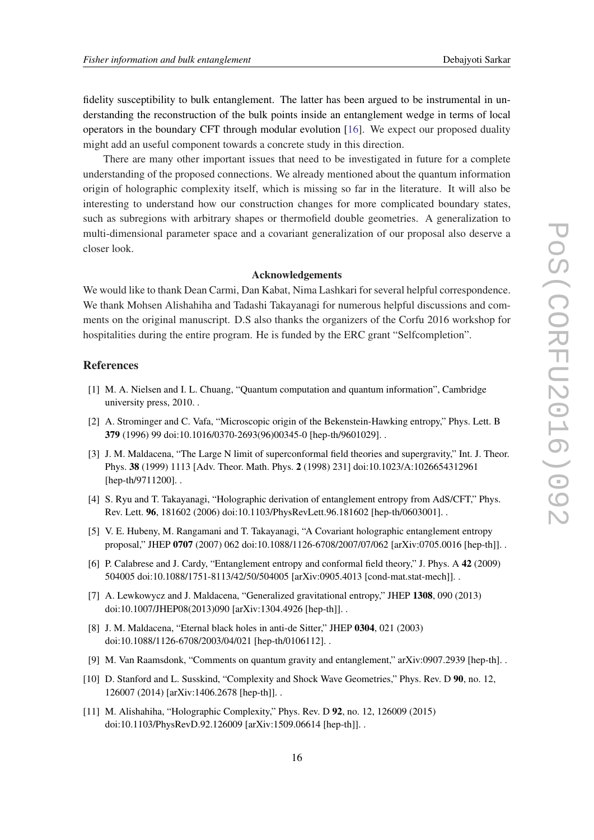<span id="page-16-0"></span>fidelity susceptibility to bulk entanglement. The latter has been argued to be instrumental in understanding the reconstruction of the bulk points inside an entanglement wedge in terms of local operators in the boundary CFT through modular evolution [[16](#page-17-0)]. We expect our proposed duality might add an useful component towards a concrete study in this direction.

There are many other important issues that need to be investigated in future for a complete understanding of the proposed connections. We already mentioned about the quantum information origin of holographic complexity itself, which is missing so far in the literature. It will also be interesting to understand how our construction changes for more complicated boundary states, such as subregions with arbitrary shapes or thermofield double geometries. A generalization to multi-dimensional parameter space and a covariant generalization of our proposal also deserve a closer look.

#### Acknowledgements

We would like to thank Dean Carmi, Dan Kabat, Nima Lashkari for several helpful correspondence. We thank Mohsen Alishahiha and Tadashi Takayanagi for numerous helpful discussions and comments on the original manuscript. D.S also thanks the organizers of the Corfu 2016 workshop for hospitalities during the entire program. He is funded by the ERC grant "Selfcompletion".

# References

- [1] M. A. Nielsen and I. L. Chuang, "Quantum computation and quantum information", Cambridge university press, 2010. .
- [2] A. Strominger and C. Vafa, "Microscopic origin of the Bekenstein-Hawking entropy," Phys. Lett. B 379 (1996) 99 doi:10.1016/0370-2693(96)00345-0 [hep-th/9601029]. .
- [3] J. M. Maldacena, "The Large N limit of superconformal field theories and supergravity," Int. J. Theor. Phys. 38 (1999) 1113 [Adv. Theor. Math. Phys. 2 (1998) 231] doi:10.1023/A:1026654312961 [hep-th/9711200]..
- [4] S. Ryu and T. Takayanagi, "Holographic derivation of entanglement entropy from AdS/CFT," Phys. Rev. Lett. 96, 181602 (2006) doi:10.1103/PhysRevLett.96.181602 [hep-th/0603001]. .
- [5] V. E. Hubeny, M. Rangamani and T. Takayanagi, "A Covariant holographic entanglement entropy proposal," JHEP 0707 (2007) 062 doi:10.1088/1126-6708/2007/07/062 [arXiv:0705.0016 [hep-th]]. .
- [6] P. Calabrese and J. Cardy, "Entanglement entropy and conformal field theory," J. Phys. A 42 (2009) 504005 doi:10.1088/1751-8113/42/50/504005 [arXiv:0905.4013 [cond-mat.stat-mech]]. .
- [7] A. Lewkowycz and J. Maldacena, "Generalized gravitational entropy," JHEP 1308, 090 (2013) doi:10.1007/JHEP08(2013)090 [arXiv:1304.4926 [hep-th]]. .
- [8] J. M. Maldacena, "Eternal black holes in anti-de Sitter," JHEP 0304, 021 (2003) doi:10.1088/1126-6708/2003/04/021 [hep-th/0106112]. .
- [9] M. Van Raamsdonk, "Comments on quantum gravity and entanglement," arXiv:0907.2939 [hep-th]. .
- [10] D. Stanford and L. Susskind, "Complexity and Shock Wave Geometries," Phys. Rev. D 90, no. 12, 126007 (2014) [arXiv:1406.2678 [hep-th]]. .
- [11] M. Alishahiha, "Holographic Complexity," Phys. Rev. D 92, no. 12, 126009 (2015) doi:10.1103/PhysRevD.92.126009 [arXiv:1509.06614 [hep-th]]. .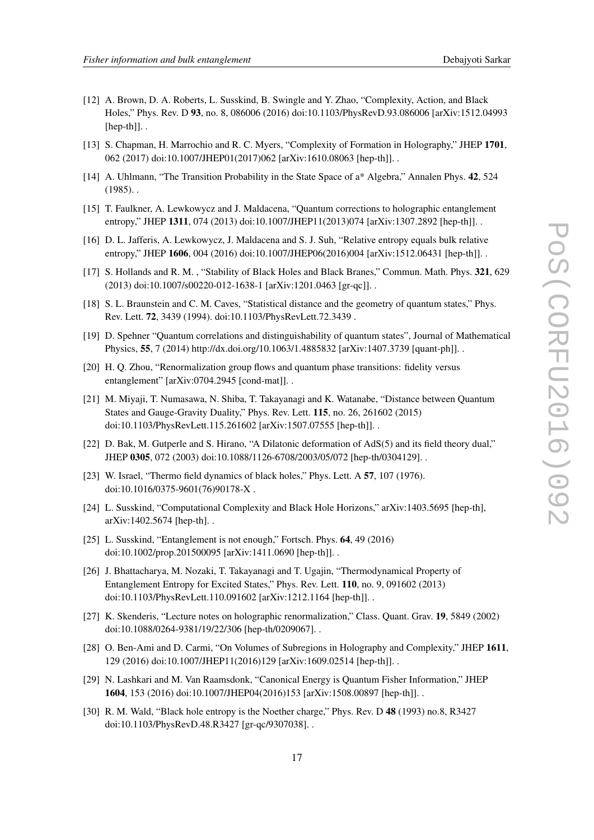- 
- <span id="page-17-0"></span>[12] A. Brown, D. A. Roberts, L. Susskind, B. Swingle and Y. Zhao, "Complexity, Action, and Black Holes," Phys. Rev. D 93, no. 8, 086006 (2016) doi:10.1103/PhysRevD.93.086006 [arXiv:1512.04993  $[hep-th]$ .
- [13] S. Chapman, H. Marrochio and R. C. Myers, "Complexity of Formation in Holography," JHEP 1701, 062 (2017) doi:10.1007/JHEP01(2017)062 [arXiv:1610.08063 [hep-th]]. .
- [14] A. Uhlmann, "The Transition Probability in the State Space of a\* Algebra," Annalen Phys. 42, 524  $(1985)$ .
- [15] T. Faulkner, A. Lewkowycz and J. Maldacena, "Quantum corrections to holographic entanglement entropy," JHEP 1311, 074 (2013) doi:10.1007/JHEP11(2013)074 [arXiv:1307.2892 [hep-th]].
- [16] D. L. Jafferis, A. Lewkowycz, J. Maldacena and S. J. Suh, "Relative entropy equals bulk relative entropy," JHEP 1606, 004 (2016) doi:10.1007/JHEP06(2016)004 [arXiv:1512.06431 [hep-th]].
- [17] S. Hollands and R. M. , "Stability of Black Holes and Black Branes," Commun. Math. Phys. 321, 629 (2013) doi:10.1007/s00220-012-1638-1 [arXiv:1201.0463 [gr-qc]]. .
- [18] S. L. Braunstein and C. M. Caves, "Statistical distance and the geometry of quantum states," Phys. Rev. Lett. 72, 3439 (1994). doi:10.1103/PhysRevLett.72.3439 .
- [19] D. Spehner "Quantum correlations and distinguishability of quantum states", Journal of Mathematical Physics, 55, 7 (2014) http://dx.doi.org/10.1063/1.4885832 [arXiv:1407.3739 [quant-ph]]. .
- [20] H. Q. Zhou, "Renormalization group flows and quantum phase transitions: fidelity versus entanglement" [arXiv:0704.2945 [cond-mat]]. .
- [21] M. Miyaji, T. Numasawa, N. Shiba, T. Takayanagi and K. Watanabe, "Distance between Quantum States and Gauge-Gravity Duality," Phys. Rev. Lett. 115, no. 26, 261602 (2015) doi:10.1103/PhysRevLett.115.261602 [arXiv:1507.07555 [hep-th]]. .
- [22] D. Bak, M. Gutperle and S. Hirano, "A Dilatonic deformation of AdS(5) and its field theory dual," JHEP 0305, 072 (2003) doi:10.1088/1126-6708/2003/05/072 [hep-th/0304129]. .
- [23] W. Israel, "Thermo field dynamics of black holes," Phys. Lett. A 57, 107 (1976). doi:10.1016/0375-9601(76)90178-X .
- [24] L. Susskind, "Computational Complexity and Black Hole Horizons," arXiv:1403.5695 [hep-th], arXiv:1402.5674 [hep-th]. .
- [25] L. Susskind, "Entanglement is not enough," Fortsch. Phys. **64**, 49 (2016) doi:10.1002/prop.201500095 [arXiv:1411.0690 [hep-th]]. .
- [26] J. Bhattacharya, M. Nozaki, T. Takayanagi and T. Ugajin, "Thermodynamical Property of Entanglement Entropy for Excited States," Phys. Rev. Lett. 110, no. 9, 091602 (2013) doi:10.1103/PhysRevLett.110.091602 [arXiv:1212.1164 [hep-th]]. .
- [27] K. Skenderis, "Lecture notes on holographic renormalization," Class. Quant. Grav. 19, 5849 (2002) doi:10.1088/0264-9381/19/22/306 [hep-th/0209067]. .
- [28] O. Ben-Ami and D. Carmi, "On Volumes of Subregions in Holography and Complexity," JHEP 1611, 129 (2016) doi:10.1007/JHEP11(2016)129 [arXiv:1609.02514 [hep-th]]. .
- [29] N. Lashkari and M. Van Raamsdonk, "Canonical Energy is Quantum Fisher Information," JHEP 1604, 153 (2016) doi:10.1007/JHEP04(2016)153 [arXiv:1508.00897 [hep-th]]. .
- [30] R. M. Wald, "Black hole entropy is the Noether charge," Phys. Rev. D 48 (1993) no.8, R3427 doi:10.1103/PhysRevD.48.R3427 [gr-qc/9307038]. .